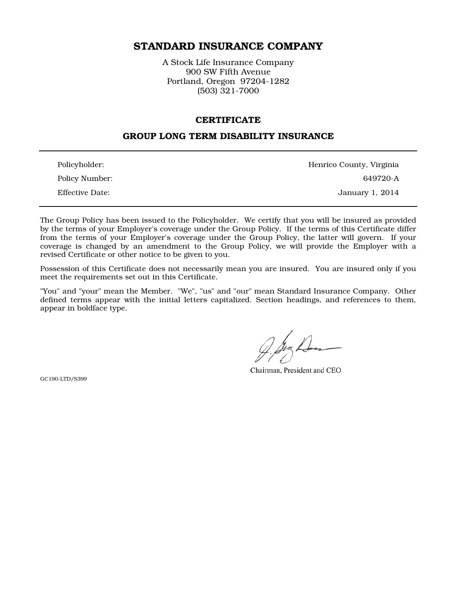# STANDARD INSURANCE COMPANY

A Stock Life Insurance Company 900 SW Fifth Avenue Portland, Oregon 97204-1282 (503) 321-7000

#### **CERTIFICATE**

### GROUP LONG TERM DISABILITY INSURANCE

| Policyholder:          | Henrico County, Virginia |
|------------------------|--------------------------|
| Policy Number:         | 649720-A                 |
| <b>Effective Date:</b> | January 1, 2014          |

The Group Policy has been issued to the Policyholder. We certify that you will be insured as provided by the terms of your Employer's coverage under the Group Policy. If the terms of this Certificate differ from the terms of your Employer's coverage under the Group Policy, the latter will govern. If your coverage is changed by an amendment to the Group Policy, we will provide the Employer with a revised Certificate or other notice to be given to you.

Possession of this Certificate does not necessarily mean you are insured. You are insured only if you meet the requirements set out in this Certificate.

"You" and "your" mean the Member. "We", "us" and "our" mean Standard Insurance Company. Other defined terms appear with the initial letters capitalized. Section headings, and references to them, appear in boldface type.

Chairman, President and CEO

GC190-LTD/S399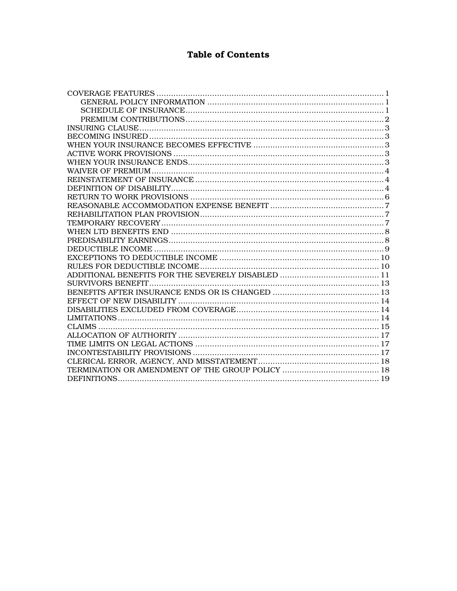# **Table of Contents**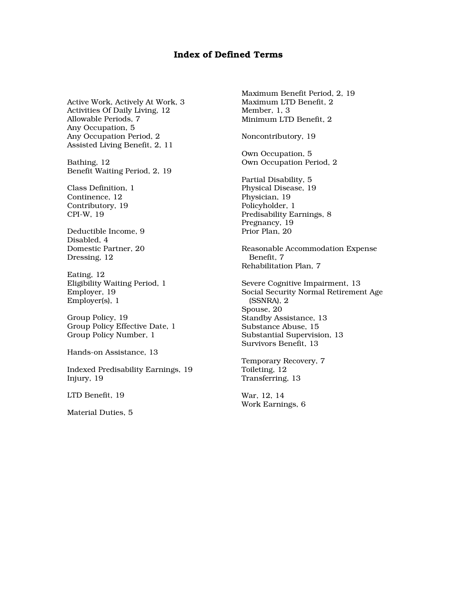# Index of Defined Terms

Active Work, Actively At Work, 3 Activities Of Daily Living, 12 Allowable Periods, 7 Any Occupation, 5 Any Occupation Period, 2 Assisted Living Benefit, 2, 11

Bathing, 12 Benefit Waiting Period, 2, 19

Class Definition, 1 Continence, 12 Contributory, 19 CPI-W, 19

Deductible Income, 9 Disabled, 4 Domestic Partner, 20 Dressing, 12

Eating, 12 Eligibility Waiting Period, 1 Employer, 19 Employer(s), 1

Group Policy, 19 Group Policy Effective Date, 1 Group Policy Number, 1

Hands-on Assistance, 13

Indexed Predisability Earnings, 19 Injury, 19

LTD Benefit, 19

Material Duties, 5

Maximum Benefit Period, 2, 19 Maximum LTD Benefit, 2 Member, 1, 3 Minimum LTD Benefit, 2

Noncontributory, 19

Own Occupation, 5 Own Occupation Period, 2

Partial Disability, 5 Physical Disease, 19 Physician, 19 Policyholder, 1 Predisability Earnings, 8 Pregnancy, 19 Prior Plan, 20

Reasonable Accommodation Expense Benefit, 7 Rehabilitation Plan, 7

Severe Cognitive Impairment, 13 Social Security Normal Retirement Age (SSNRA), 2 Spouse, 20 Standby Assistance, 13 Substance Abuse, 15 Substantial Supervision, 13 Survivors Benefit, 13

Temporary Recovery, 7 Toileting, 12 Transferring, 13

War, 12, 14 Work Earnings, 6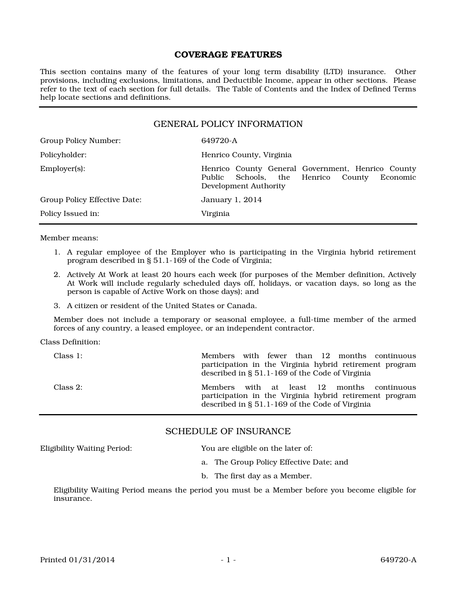#### COVERAGE FEATURES

This section contains many of the features of your long term disability (LTD) insurance. Other provisions, including exclusions, limitations, and Deductible Income, appear in other sections. Please refer to the text of each section for full details. The Table of Contents and the Index of Defined Terms help locate sections and definitions.

| <b>GENERAL POLICY INFORMATION</b> |                                                                                                                           |
|-----------------------------------|---------------------------------------------------------------------------------------------------------------------------|
| Group Policy Number:              | 649720-A                                                                                                                  |
| Policyholder:                     | Henrico County, Virginia                                                                                                  |
| Employer(s):                      | Henrico County General Government, Henrico County<br>Public Schools, the Henrico County Economic<br>Development Authority |
| Group Policy Effective Date:      | January 1, 2014                                                                                                           |
| Policy Issued in:                 | Virginia                                                                                                                  |
|                                   |                                                                                                                           |

Member means:

- 1. A regular employee of the Employer who is participating in the Virginia hybrid retirement program described in § 51.1-169 of the Code of Virginia;
- 2. Actively At Work at least 20 hours each week (for purposes of the Member definition, Actively At Work will include regularly scheduled days off, holidays, or vacation days, so long as the person is capable of Active Work on those days); and
- 3. A citizen or resident of the United States or Canada.

Member does not include a temporary or seasonal employee, a full-time member of the armed forces of any country, a leased employee, or an independent contractor.

Class Definition:

| Class 1: | Members with fewer than 12 months continuous<br>participation in the Virginia hybrid retirement program<br>described in § 51.1-169 of the Code of Virginia  |
|----------|-------------------------------------------------------------------------------------------------------------------------------------------------------------|
| Class 2: | with at least 12 months continuous<br>Members<br>participation in the Virginia hybrid retirement program<br>described in § 51.1-169 of the Code of Virginia |

### SCHEDULE OF INSURANCE

Eligibility Waiting Period: You are eligible on the later of:

- a. The Group Policy Effective Date; and
- b. The first day as a Member.

Eligibility Waiting Period means the period you must be a Member before you become eligible for insurance.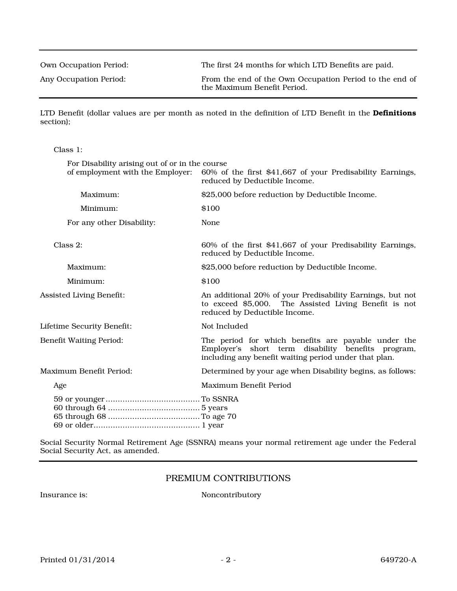Own Occupation Period: The first 24 months for which LTD Benefits are paid.

Any Occupation Period: From the end of the Own Occupation Period to the end of the Maximum Benefit Period.

LTD Benefit (dollar values are per month as noted in the definition of LTD Benefit in the Definitions section);

Class 1:

| For Disability arising out of or in the course |                                                                                                                                                                    |
|------------------------------------------------|--------------------------------------------------------------------------------------------------------------------------------------------------------------------|
| of employment with the Employer:               | 60% of the first \$41,667 of your Predisability Earnings,<br>reduced by Deductible Income.                                                                         |
| Maximum:                                       | \$25,000 before reduction by Deductible Income.                                                                                                                    |
| Minimum:                                       | \$100                                                                                                                                                              |
| For any other Disability:                      | None                                                                                                                                                               |
| Class 2:                                       | 60% of the first \$41,667 of your Predisability Earnings,<br>reduced by Deductible Income.                                                                         |
| Maximum:                                       | \$25,000 before reduction by Deductible Income.                                                                                                                    |
| Minimum:                                       | \$100                                                                                                                                                              |
| <b>Assisted Living Benefit:</b>                | An additional 20% of your Predisability Earnings, but not<br>to exceed \$5,000. The Assisted Living Benefit is not<br>reduced by Deductible Income.                |
| Lifetime Security Benefit:                     | Not Included                                                                                                                                                       |
| <b>Benefit Waiting Period:</b>                 | The period for which benefits are payable under the<br>Employer's short term disability benefits program,<br>including any benefit waiting period under that plan. |
| Maximum Benefit Period:                        | Determined by your age when Disability begins, as follows:                                                                                                         |
| Age                                            | Maximum Benefit Period                                                                                                                                             |
|                                                |                                                                                                                                                                    |

Social Security Normal Retirement Age (SSNRA) means your normal retirement age under the Federal Social Security Act, as amended.

# PREMIUM CONTRIBUTIONS

Insurance is: Noncontributory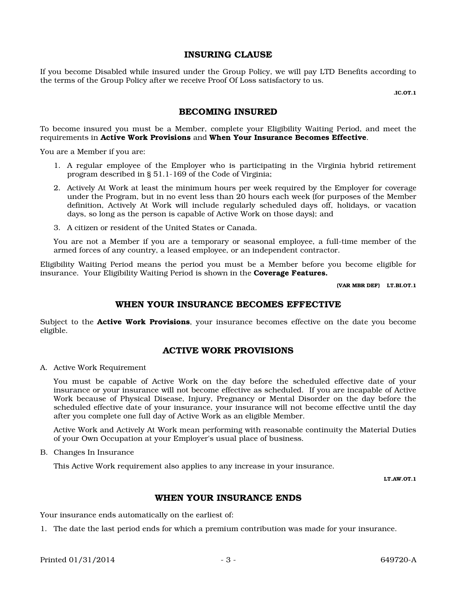#### INSURING CLAUSE

If you become Disabled while insured under the Group Policy, we will pay LTD Benefits according to the terms of the Group Policy after we receive Proof Of Loss satisfactory to us.

.IC.OT.1

# BECOMING INSURED

To become insured you must be a Member, complete your Eligibility Waiting Period, and meet the requirements in Active Work Provisions and When Your Insurance Becomes Effective.

You are a Member if you are:

- 1. A regular employee of the Employer who is participating in the Virginia hybrid retirement program described in § 51.1-169 of the Code of Virginia;
- 2. Actively At Work at least the minimum hours per week required by the Employer for coverage under the Program, but in no event less than 20 hours each week (for purposes of the Member definition, Actively At Work will include regularly scheduled days off, holidays, or vacation days, so long as the person is capable of Active Work on those days); and
- 3. A citizen or resident of the United States or Canada.

You are not a Member if you are a temporary or seasonal employee, a full-time member of the armed forces of any country, a leased employee, or an independent contractor.

Eligibility Waiting Period means the period you must be a Member before you become eligible for insurance. Your Eligibility Waiting Period is shown in the **Coverage Features.** 

(VAR MBR DEF) LT.BI.OT.1

#### WHEN YOUR INSURANCE BECOMES EFFECTIVE

Subject to the **Active Work Provisions**, your insurance becomes effective on the date you become eligible.

#### ACTIVE WORK PROVISIONS

A. Active Work Requirement

You must be capable of Active Work on the day before the scheduled effective date of your insurance or your insurance will not become effective as scheduled. If you are incapable of Active Work because of Physical Disease, Injury, Pregnancy or Mental Disorder on the day before the scheduled effective date of your insurance, your insurance will not become effective until the day after you complete one full day of Active Work as an eligible Member.

Active Work and Actively At Work mean performing with reasonable continuity the Material Duties of your Own Occupation at your Employer's usual place of business.

B. Changes In Insurance

This Active Work requirement also applies to any increase in your insurance.

LT.AW.OT.1

#### WHEN YOUR INSURANCE ENDS

Your insurance ends automatically on the earliest of:

1. The date the last period ends for which a premium contribution was made for your insurance.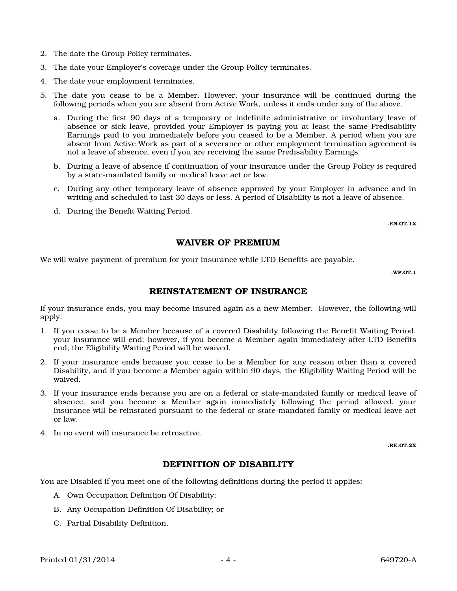- 2. The date the Group Policy terminates.
- 3. The date your Employer's coverage under the Group Policy terminates.
- 4. The date your employment terminates.
- 5. The date you cease to be a Member. However, your insurance will be continued during the following periods when you are absent from Active Work, unless it ends under any of the above.
	- a. During the first 90 days of a temporary or indefinite administrative or involuntary leave of absence or sick leave, provided your Employer is paying you at least the same Predisability Earnings paid to you immediately before you ceased to be a Member. A period when you are absent from Active Work as part of a severance or other employment termination agreement is not a leave of absence, even if you are receiving the same Predisability Earnings.
	- b. During a leave of absence if continuation of your insurance under the Group Policy is required by a state-mandated family or medical leave act or law.
	- c. During any other temporary leave of absence approved by your Employer in advance and in writing and scheduled to last 30 days or less. A period of Disability is not a leave of absence.
	- d. During the Benefit Waiting Period.

.EN.OT.1X

### WAIVER OF PREMIUM

We will waive payment of premium for your insurance while LTD Benefits are payable.

.WP.OT.1

### REINSTATEMENT OF INSURANCE

If your insurance ends, you may become insured again as a new Member. However, the following will apply:

- 1. If you cease to be a Member because of a covered Disability following the Benefit Waiting Period, your insurance will end; however, if you become a Member again immediately after LTD Benefits end, the Eligibility Waiting Period will be waived.
- 2. If your insurance ends because you cease to be a Member for any reason other than a covered Disability, and if you become a Member again within 90 days, the Eligibility Waiting Period will be waived.
- 3. If your insurance ends because you are on a federal or state-mandated family or medical leave of absence, and you become a Member again immediately following the period allowed, your insurance will be reinstated pursuant to the federal or state-mandated family or medical leave act or law.
- 4. In no event will insurance be retroactive.

.RE.OT.2X

# DEFINITION OF DISABILITY

You are Disabled if you meet one of the following definitions during the period it applies:

- A. Own Occupation Definition Of Disability;
- B. Any Occupation Definition Of Disability; or
- C. Partial Disability Definition.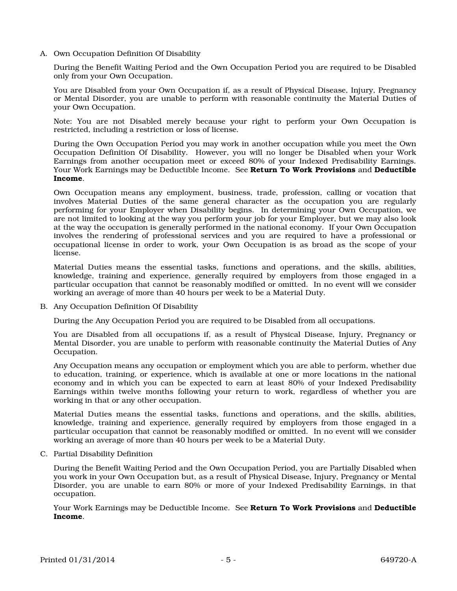A. Own Occupation Definition Of Disability

During the Benefit Waiting Period and the Own Occupation Period you are required to be Disabled only from your Own Occupation.

You are Disabled from your Own Occupation if, as a result of Physical Disease, Injury, Pregnancy or Mental Disorder, you are unable to perform with reasonable continuity the Material Duties of your Own Occupation.

Note: You are not Disabled merely because your right to perform your Own Occupation is restricted, including a restriction or loss of license.

During the Own Occupation Period you may work in another occupation while you meet the Own Occupation Definition Of Disability. However, you will no longer be Disabled when your Work Earnings from another occupation meet or exceed 80% of your Indexed Predisability Earnings. Your Work Earnings may be Deductible Income. See Return To Work Provisions and Deductible Income.

Own Occupation means any employment, business, trade, profession, calling or vocation that involves Material Duties of the same general character as the occupation you are regularly performing for your Employer when Disability begins. In determining your Own Occupation, we are not limited to looking at the way you perform your job for your Employer, but we may also look at the way the occupation is generally performed in the national economy. If your Own Occupation involves the rendering of professional services and you are required to have a professional or occupational license in order to work, your Own Occupation is as broad as the scope of your license.

Material Duties means the essential tasks, functions and operations, and the skills, abilities, knowledge, training and experience, generally required by employers from those engaged in a particular occupation that cannot be reasonably modified or omitted. In no event will we consider working an average of more than 40 hours per week to be a Material Duty.

B. Any Occupation Definition Of Disability

During the Any Occupation Period you are required to be Disabled from all occupations.

You are Disabled from all occupations if, as a result of Physical Disease, Injury, Pregnancy or Mental Disorder, you are unable to perform with reasonable continuity the Material Duties of Any Occupation.

Any Occupation means any occupation or employment which you are able to perform, whether due to education, training, or experience, which is available at one or more locations in the national economy and in which you can be expected to earn at least 80% of your Indexed Predisability Earnings within twelve months following your return to work, regardless of whether you are working in that or any other occupation.

Material Duties means the essential tasks, functions and operations, and the skills, abilities, knowledge, training and experience, generally required by employers from those engaged in a particular occupation that cannot be reasonably modified or omitted. In no event will we consider working an average of more than 40 hours per week to be a Material Duty.

C. Partial Disability Definition

During the Benefit Waiting Period and the Own Occupation Period, you are Partially Disabled when you work in your Own Occupation but, as a result of Physical Disease, Injury, Pregnancy or Mental Disorder, you are unable to earn 80% or more of your Indexed Predisability Earnings, in that occupation.

Your Work Earnings may be Deductible Income. See Return To Work Provisions and Deductible Income.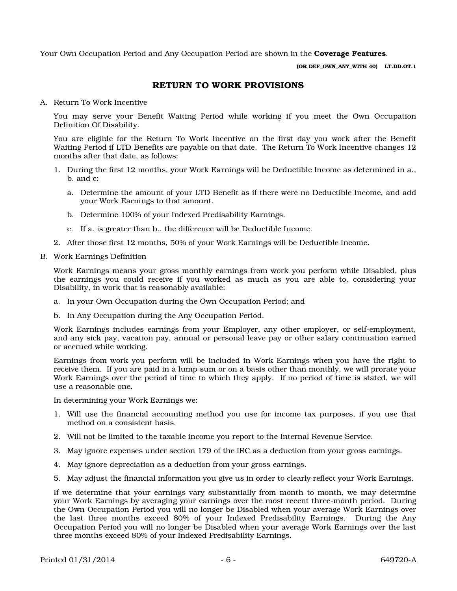Your Own Occupation Period and Any Occupation Period are shown in the **Coverage Features**.

(OR DEF\_OWN\_ANY\_WITH 40) LT.DD.OT.1

#### RETURN TO WORK PROVISIONS

A. Return To Work Incentive

You may serve your Benefit Waiting Period while working if you meet the Own Occupation Definition Of Disability.

You are eligible for the Return To Work Incentive on the first day you work after the Benefit Waiting Period if LTD Benefits are payable on that date. The Return To Work Incentive changes 12 months after that date, as follows:

- 1. During the first 12 months, your Work Earnings will be Deductible Income as determined in a., b. and c:
	- a. Determine the amount of your LTD Benefit as if there were no Deductible Income, and add your Work Earnings to that amount.
	- b. Determine 100% of your Indexed Predisability Earnings.
	- c. If a. is greater than b., the difference will be Deductible Income.
- 2. After those first 12 months, 50% of your Work Earnings will be Deductible Income.
- B. Work Earnings Definition

Work Earnings means your gross monthly earnings from work you perform while Disabled, plus the earnings you could receive if you worked as much as you are able to, considering your Disability, in work that is reasonably available:

- a. In your Own Occupation during the Own Occupation Period; and
- b. In Any Occupation during the Any Occupation Period.

Work Earnings includes earnings from your Employer, any other employer, or self-employment, and any sick pay, vacation pay, annual or personal leave pay or other salary continuation earned or accrued while working.

Earnings from work you perform will be included in Work Earnings when you have the right to receive them. If you are paid in a lump sum or on a basis other than monthly, we will prorate your Work Earnings over the period of time to which they apply. If no period of time is stated, we will use a reasonable one.

In determining your Work Earnings we:

- 1. Will use the financial accounting method you use for income tax purposes, if you use that method on a consistent basis.
- 2. Will not be limited to the taxable income you report to the Internal Revenue Service.
- 3. May ignore expenses under section 179 of the IRC as a deduction from your gross earnings.
- 4. May ignore depreciation as a deduction from your gross earnings.
- 5. May adjust the financial information you give us in order to clearly reflect your Work Earnings.

If we determine that your earnings vary substantially from month to month, we may determine your Work Earnings by averaging your earnings over the most recent three-month period. During the Own Occupation Period you will no longer be Disabled when your average Work Earnings over the last three months exceed 80% of your Indexed Predisability Earnings. During the Any Occupation Period you will no longer be Disabled when your average Work Earnings over the last three months exceed 80% of your Indexed Predisability Earnings.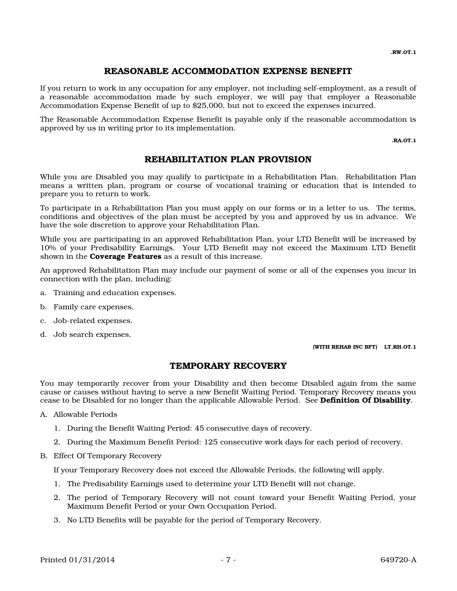# REASONABLE ACCOMMODATION EXPENSE BENEFIT

If you return to work in any occupation for any employer, not including self-employment, as a result of a reasonable accommodation made by such employer, we will pay that employer a Reasonable Accommodation Expense Benefit of up to \$25,000, but not to exceed the expenses incurred.

The Reasonable Accommodation Expense Benefit is payable only if the reasonable accommodation is approved by us in writing prior to its implementation.

.RA.OT.1

# REHABILITATION PLAN PROVISION

While you are Disabled you may qualify to participate in a Rehabilitation Plan. Rehabilitation Plan means a written plan, program or course of vocational training or education that is intended to prepare you to return to work.

To participate in a Rehabilitation Plan you must apply on our forms or in a letter to us. The terms, conditions and objectives of the plan must be accepted by you and approved by us in advance. We have the sole discretion to approve your Rehabilitation Plan.

While you are participating in an approved Rehabilitation Plan, your LTD Benefit will be increased by 10% of your Predisability Earnings. Your LTD Benefit may not exceed the Maximum LTD Benefit shown in the **Coverage Features** as a result of this increase.

An approved Rehabilitation Plan may include our payment of some or all of the expenses you incur in connection with the plan, including:

- a. Training and education expenses.
- b. Family care expenses.
- c. Job-related expenses.
- d. Job search expenses.

(WITH REHAB INC BFT) LT.RH.OT.1

### TEMPORARY RECOVERY

You may temporarily recover from your Disability and then become Disabled again from the same cause or causes without having to serve a new Benefit Waiting Period. Temporary Recovery means you cease to be Disabled for no longer than the applicable Allowable Period. See Definition Of Disability.

- A. Allowable Periods
	- 1. During the Benefit Waiting Period: 45 consecutive days of recovery.
	- 2. During the Maximum Benefit Period: 125 consecutive work days for each period of recovery.
- B. Effect Of Temporary Recovery

If your Temporary Recovery does not exceed the Allowable Periods, the following will apply.

- 1. The Predisability Earnings used to determine your LTD Benefit will not change.
- 2. The period of Temporary Recovery will not count toward your Benefit Waiting Period, your Maximum Benefit Period or your Own Occupation Period.
- 3. No LTD Benefits will be payable for the period of Temporary Recovery.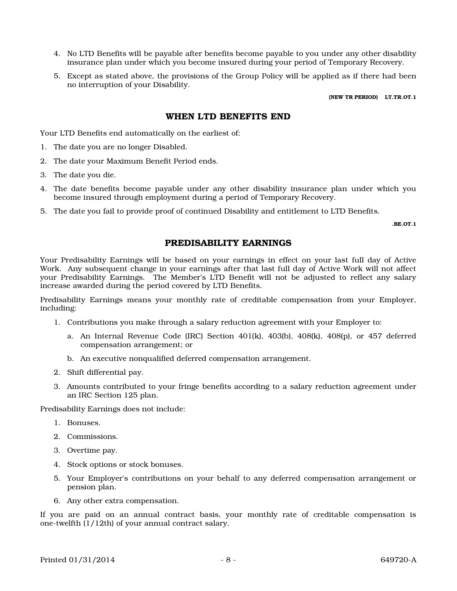- 4. No LTD Benefits will be payable after benefits become payable to you under any other disability insurance plan under which you become insured during your period of Temporary Recovery.
- 5. Except as stated above, the provisions of the Group Policy will be applied as if there had been no interruption of your Disability.

(NEW TR PERIOD) LT.TR.OT.1

#### WHEN LTD BENEFITS END

Your LTD Benefits end automatically on the earliest of:

- 1. The date you are no longer Disabled.
- 2. The date your Maximum Benefit Period ends.
- 3. The date you die.
- 4. The date benefits become payable under any other disability insurance plan under which you become insured through employment during a period of Temporary Recovery.
- 5. The date you fail to provide proof of continued Disability and entitlement to LTD Benefits.

.BE.OT.1

#### PREDISABILITY EARNINGS

Your Predisability Earnings will be based on your earnings in effect on your last full day of Active Work. Any subsequent change in your earnings after that last full day of Active Work will not affect your Predisability Earnings. The Member's LTD Benefit will not be adjusted to reflect any salary increase awarded during the period covered by LTD Benefits.

Predisability Earnings means your monthly rate of creditable compensation from your Employer, including:

- 1. Contributions you make through a salary reduction agreement with your Employer to:
	- a. An Internal Revenue Code (IRC) Section  $401(k)$ ,  $403(b)$ ,  $408(k)$ ,  $408(p)$ , or  $457$  deferred compensation arrangement; or
	- b. An executive nonqualified deferred compensation arrangement.
- 2. Shift differential pay.
- 3. Amounts contributed to your fringe benefits according to a salary reduction agreement under an IRC Section 125 plan.

Predisability Earnings does not include:

- 1. Bonuses.
- 2. Commissions.
- 3. Overtime pay.
- 4. Stock options or stock bonuses.
- 5. Your Employer's contributions on your behalf to any deferred compensation arrangement or pension plan.
- 6. Any other extra compensation.

If you are paid on an annual contract basis, your monthly rate of creditable compensation is one-twelfth (1/12th) of your annual contract salary.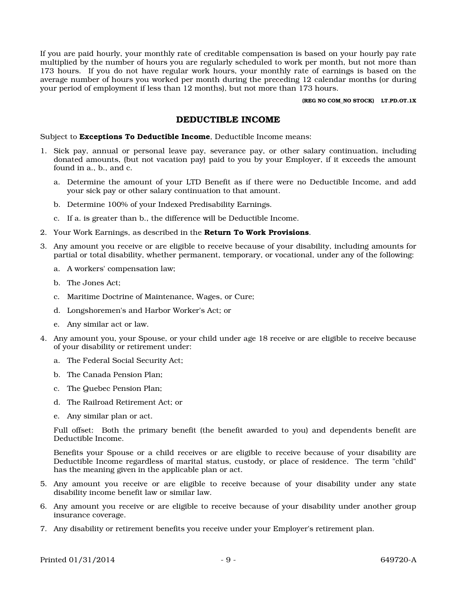If you are paid hourly, your monthly rate of creditable compensation is based on your hourly pay rate multiplied by the number of hours you are regularly scheduled to work per month, but not more than 173 hours. If you do not have regular work hours, your monthly rate of earnings is based on the average number of hours you worked per month during the preceding 12 calendar months (or during your period of employment if less than 12 months), but not more than 173 hours.

(REG NO COM\_NO STOCK) LT.PD.OT.1X

#### DEDUCTIBLE INCOME

Subject to **Exceptions To Deductible Income**, Deductible Income means:

- 1. Sick pay, annual or personal leave pay, severance pay, or other salary continuation, including donated amounts, (but not vacation pay) paid to you by your Employer, if it exceeds the amount found in a., b., and c.
	- a. Determine the amount of your LTD Benefit as if there were no Deductible Income, and add your sick pay or other salary continuation to that amount.
	- b. Determine 100% of your Indexed Predisability Earnings.
	- c. If a. is greater than b., the difference will be Deductible Income.
- 2. Your Work Earnings, as described in the **Return To Work Provisions**.
- 3. Any amount you receive or are eligible to receive because of your disability, including amounts for partial or total disability, whether permanent, temporary, or vocational, under any of the following:
	- a. A workers' compensation law;
	- b. The Jones Act;
	- c. Maritime Doctrine of Maintenance, Wages, or Cure;
	- d. Longshoremen's and Harbor Worker's Act; or
	- e. Any similar act or law.
- 4. Any amount you, your Spouse, or your child under age 18 receive or are eligible to receive because of your disability or retirement under:
	- a. The Federal Social Security Act;
	- b. The Canada Pension Plan;
	- c. The Quebec Pension Plan;
	- d. The Railroad Retirement Act; or
	- e. Any similar plan or act.

Full offset: Both the primary benefit (the benefit awarded to you) and dependents benefit are Deductible Income.

Benefits your Spouse or a child receives or are eligible to receive because of your disability are Deductible Income regardless of marital status, custody, or place of residence. The term "child" has the meaning given in the applicable plan or act.

- 5. Any amount you receive or are eligible to receive because of your disability under any state disability income benefit law or similar law.
- 6. Any amount you receive or are eligible to receive because of your disability under another group insurance coverage.
- 7. Any disability or retirement benefits you receive under your Employer's retirement plan.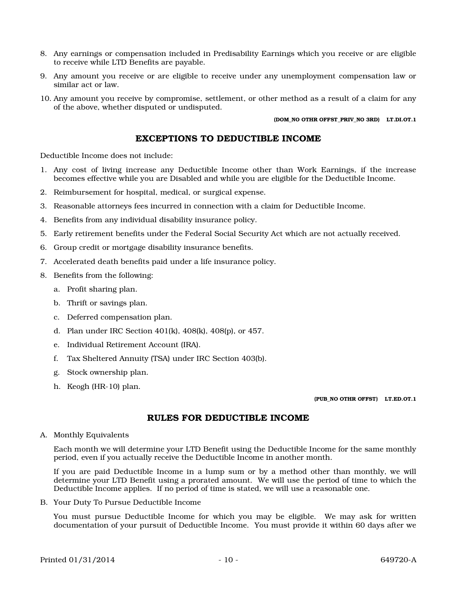- 8. Any earnings or compensation included in Predisability Earnings which you receive or are eligible to receive while LTD Benefits are payable.
- 9. Any amount you receive or are eligible to receive under any unemployment compensation law or similar act or law.
- 10. Any amount you receive by compromise, settlement, or other method as a result of a claim for any of the above, whether disputed or undisputed.

(DOM\_NO OTHR OFFST\_PRIV\_NO 3RD) LT.DI.OT.1

### EXCEPTIONS TO DEDUCTIBLE INCOME

Deductible Income does not include:

- 1. Any cost of living increase any Deductible Income other than Work Earnings, if the increase becomes effective while you are Disabled and while you are eligible for the Deductible Income.
- 2. Reimbursement for hospital, medical, or surgical expense.
- 3. Reasonable attorneys fees incurred in connection with a claim for Deductible Income.
- 4. Benefits from any individual disability insurance policy.
- 5. Early retirement benefits under the Federal Social Security Act which are not actually received.
- 6. Group credit or mortgage disability insurance benefits.
- 7. Accelerated death benefits paid under a life insurance policy.
- 8. Benefits from the following:
	- a. Profit sharing plan.
	- b. Thrift or savings plan.
	- c. Deferred compensation plan.
	- d. Plan under IRC Section 401(k), 408(k), 408(p), or 457.
	- e. Individual Retirement Account (IRA).
	- f. Tax Sheltered Annuity (TSA) under IRC Section 403(b).
	- g. Stock ownership plan.
	- h. Keogh (HR-10) plan.

(PUB\_NO OTHR OFFST) LT.ED.OT.1

# RULES FOR DEDUCTIBLE INCOME

A. Monthly Equivalents

Each month we will determine your LTD Benefit using the Deductible Income for the same monthly period, even if you actually receive the Deductible Income in another month.

If you are paid Deductible Income in a lump sum or by a method other than monthly, we will determine your LTD Benefit using a prorated amount. We will use the period of time to which the Deductible Income applies. If no period of time is stated, we will use a reasonable one.

B. Your Duty To Pursue Deductible Income

You must pursue Deductible Income for which you may be eligible. We may ask for written documentation of your pursuit of Deductible Income. You must provide it within 60 days after we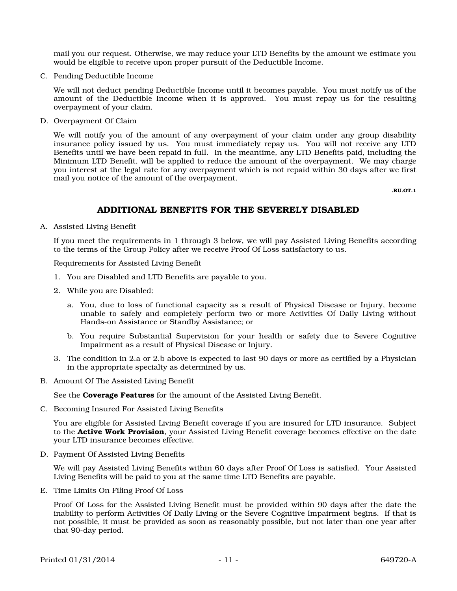mail you our request. Otherwise, we may reduce your LTD Benefits by the amount we estimate you would be eligible to receive upon proper pursuit of the Deductible Income.

C. Pending Deductible Income

We will not deduct pending Deductible Income until it becomes payable. You must notify us of the amount of the Deductible Income when it is approved. You must repay us for the resulting overpayment of your claim.

D. Overpayment Of Claim

We will notify you of the amount of any overpayment of your claim under any group disability insurance policy issued by us. You must immediately repay us. You will not receive any LTD Benefits until we have been repaid in full. In the meantime, any LTD Benefits paid, including the Minimum LTD Benefit, will be applied to reduce the amount of the overpayment. We may charge you interest at the legal rate for any overpayment which is not repaid within 30 days after we first mail you notice of the amount of the overpayment.

.RU.OT.1

### ADDITIONAL BENEFITS FOR THE SEVERELY DISABLED

A. Assisted Living Benefit

If you meet the requirements in 1 through 3 below, we will pay Assisted Living Benefits according to the terms of the Group Policy after we receive Proof Of Loss satisfactory to us.

Requirements for Assisted Living Benefit

- 1. You are Disabled and LTD Benefits are payable to you.
- 2. While you are Disabled:
	- a. You, due to loss of functional capacity as a result of Physical Disease or Injury, become unable to safely and completely perform two or more Activities Of Daily Living without Hands-on Assistance or Standby Assistance; or
	- b. You require Substantial Supervision for your health or safety due to Severe Cognitive Impairment as a result of Physical Disease or Injury.
- 3. The condition in 2.a or 2.b above is expected to last 90 days or more as certified by a Physician in the appropriate specialty as determined by us.
- B. Amount Of The Assisted Living Benefit

See the **Coverage Features** for the amount of the Assisted Living Benefit.

C. Becoming Insured For Assisted Living Benefits

You are eligible for Assisted Living Benefit coverage if you are insured for LTD insurance. Subject to the **Active Work Provision**, your Assisted Living Benefit coverage becomes effective on the date your LTD insurance becomes effective.

D. Payment Of Assisted Living Benefits

We will pay Assisted Living Benefits within 60 days after Proof Of Loss is satisfied. Your Assisted Living Benefits will be paid to you at the same time LTD Benefits are payable.

E. Time Limits On Filing Proof Of Loss

Proof Of Loss for the Assisted Living Benefit must be provided within 90 days after the date the inability to perform Activities Of Daily Living or the Severe Cognitive Impairment begins. If that is not possible, it must be provided as soon as reasonably possible, but not later than one year after that 90-day period.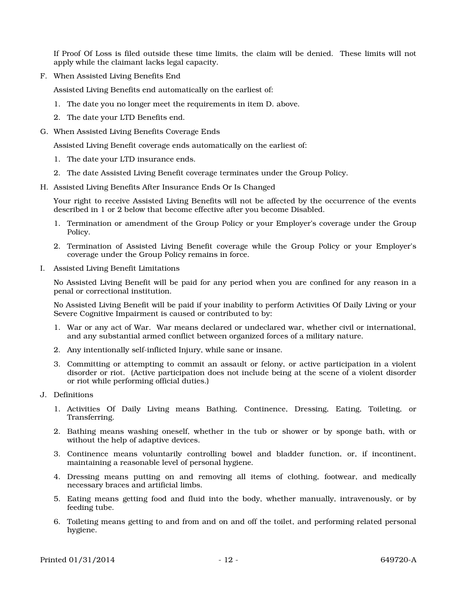If Proof Of Loss is filed outside these time limits, the claim will be denied. These limits will not apply while the claimant lacks legal capacity.

F. When Assisted Living Benefits End

Assisted Living Benefits end automatically on the earliest of:

- 1. The date you no longer meet the requirements in item D. above.
- 2. The date your LTD Benefits end.
- G. When Assisted Living Benefits Coverage Ends

Assisted Living Benefit coverage ends automatically on the earliest of:

- 1. The date your LTD insurance ends.
- 2. The date Assisted Living Benefit coverage terminates under the Group Policy.
- H. Assisted Living Benefits After Insurance Ends Or Is Changed

Your right to receive Assisted Living Benefits will not be affected by the occurrence of the events described in 1 or 2 below that become effective after you become Disabled.

- 1. Termination or amendment of the Group Policy or your Employer's coverage under the Group Policy.
- 2. Termination of Assisted Living Benefit coverage while the Group Policy or your Employer's coverage under the Group Policy remains in force.
- I. Assisted Living Benefit Limitations

No Assisted Living Benefit will be paid for any period when you are confined for any reason in a penal or correctional institution.

No Assisted Living Benefit will be paid if your inability to perform Activities Of Daily Living or your Severe Cognitive Impairment is caused or contributed to by:

- 1. War or any act of War. War means declared or undeclared war, whether civil or international, and any substantial armed conflict between organized forces of a military nature.
- 2. Any intentionally self-inflicted Injury, while sane or insane.
- 3. Committing or attempting to commit an assault or felony, or active participation in a violent disorder or riot. (Active participation does not include being at the scene of a violent disorder or riot while performing official duties.)
- J. Definitions
	- 1. Activities Of Daily Living means Bathing, Continence, Dressing, Eating, Toileting, or Transferring.
	- 2. Bathing means washing oneself, whether in the tub or shower or by sponge bath, with or without the help of adaptive devices.
	- 3. Continence means voluntarily controlling bowel and bladder function, or, if incontinent, maintaining a reasonable level of personal hygiene.
	- 4. Dressing means putting on and removing all items of clothing, footwear, and medically necessary braces and artificial limbs.
	- 5. Eating means getting food and fluid into the body, whether manually, intravenously, or by feeding tube.
	- 6. Toileting means getting to and from and on and off the toilet, and performing related personal hygiene.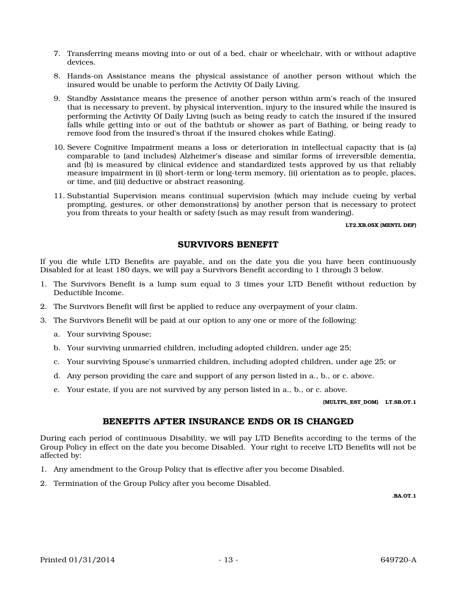- 7. Transferring means moving into or out of a bed, chair or wheelchair, with or without adaptive devices.
- 8. Hands-on Assistance means the physical assistance of another person without which the insured would be unable to perform the Activity Of Daily Living.
- 9. Standby Assistance means the presence of another person within arm's reach of the insured that is necessary to prevent, by physical intervention, injury to the insured while the insured is performing the Activity Of Daily Living (such as being ready to catch the insured if the insured falls while getting into or out of the bathtub or shower as part of Bathing, or being ready to remove food from the insured's throat if the insured chokes while Eating).
- 10. Severe Cognitive Impairment means a loss or deterioration in intellectual capacity that is (a) comparable to (and includes) Alzheimer's disease and similar forms of irreversible dementia, and (b) is measured by clinical evidence and standardized tests approved by us that reliably measure impairment in (i) short-term or long-term memory, (ii) orientation as to people, places, or time, and (iii) deductive or abstract reasoning.
- 11. Substantial Supervision means continual supervision (which may include cueing by verbal prompting, gestures, or other demonstrations) by another person that is necessary to protect you from threats to your health or safety (such as may result from wandering).

#### LT2.XB.05X (MENTL DEF)

# SURVIVORS BENEFIT

If you die while LTD Benefits are payable, and on the date you die you have been continuously Disabled for at least 180 days, we will pay a Survivors Benefit according to 1 through 3 below.

- 1. The Survivors Benefit is a lump sum equal to 3 times your LTD Benefit without reduction by Deductible Income.
- 2. The Survivors Benefit will first be applied to reduce any overpayment of your claim.
- 3. The Survivors Benefit will be paid at our option to any one or more of the following:
	- a. Your surviving Spouse;
	- b. Your surviving unmarried children, including adopted children, under age 25;
	- c. Your surviving Spouse's unmarried children, including adopted children, under age 25; or
	- d. Any person providing the care and support of any person listed in a., b., or c. above.
	- e. Your estate, if you are not survived by any person listed in a., b., or c. above.

(MULTPL\_EST\_DOM) LT.SB.OT.1

#### BENEFITS AFTER INSURANCE ENDS OR IS CHANGED

During each period of continuous Disability, we will pay LTD Benefits according to the terms of the Group Policy in effect on the date you become Disabled. Your right to receive LTD Benefits will not be affected by:

- 1. Any amendment to the Group Policy that is effective after you become Disabled.
- 2. Termination of the Group Policy after you become Disabled.

.BA.OT.1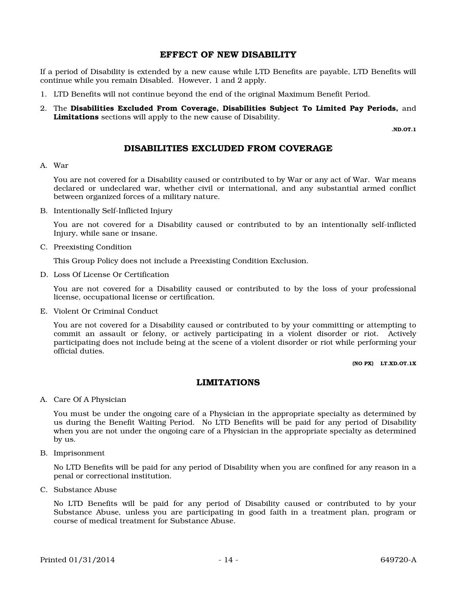#### EFFECT OF NEW DISABILITY

If a period of Disability is extended by a new cause while LTD Benefits are payable, LTD Benefits will continue while you remain Disabled. However, 1 and 2 apply.

- 1. LTD Benefits will not continue beyond the end of the original Maximum Benefit Period.
- 2. The Disabilities Excluded From Coverage, Disabilities Subject To Limited Pay Periods, and Limitations sections will apply to the new cause of Disability.

.ND.OT.1

# DISABILITIES EXCLUDED FROM COVERAGE

#### A. War

You are not covered for a Disability caused or contributed to by War or any act of War. War means declared or undeclared war, whether civil or international, and any substantial armed conflict between organized forces of a military nature.

B. Intentionally Self-Inflicted Injury

You are not covered for a Disability caused or contributed to by an intentionally self-inflicted Injury, while sane or insane.

C. Preexisting Condition

This Group Policy does not include a Preexisting Condition Exclusion.

D. Loss Of License Or Certification

You are not covered for a Disability caused or contributed to by the loss of your professional license, occupational license or certification.

E. Violent Or Criminal Conduct

You are not covered for a Disability caused or contributed to by your committing or attempting to commit an assault or felony, or actively participating in a violent disorder or riot. Actively participating does not include being at the scene of a violent disorder or riot while performing your official duties.

(NO PX) LT.XD.OT.1X

#### LIMITATIONS

A. Care Of A Physician

You must be under the ongoing care of a Physician in the appropriate specialty as determined by us during the Benefit Waiting Period. No LTD Benefits will be paid for any period of Disability when you are not under the ongoing care of a Physician in the appropriate specialty as determined by us.

B. Imprisonment

No LTD Benefits will be paid for any period of Disability when you are confined for any reason in a penal or correctional institution.

C. Substance Abuse

No LTD Benefits will be paid for any period of Disability caused or contributed to by your Substance Abuse, unless you are participating in good faith in a treatment plan, program or course of medical treatment for Substance Abuse.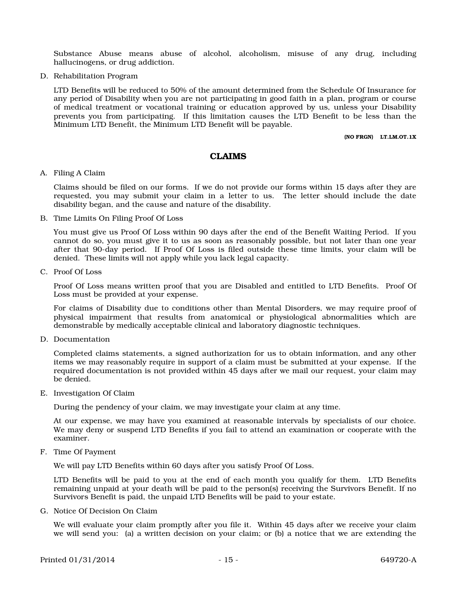Substance Abuse means abuse of alcohol, alcoholism, misuse of any drug, including hallucinogens, or drug addiction.

D. Rehabilitation Program

LTD Benefits will be reduced to 50% of the amount determined from the Schedule Of Insurance for any period of Disability when you are not participating in good faith in a plan, program or course of medical treatment or vocational training or education approved by us, unless your Disability prevents you from participating. If this limitation causes the LTD Benefit to be less than the Minimum LTD Benefit, the Minimum LTD Benefit will be payable.

(NO FRGN) LT.LM.OT.1X

#### CLAIMS

#### A. Filing A Claim

Claims should be filed on our forms. If we do not provide our forms within 15 days after they are requested, you may submit your claim in a letter to us. The letter should include the date disability began, and the cause and nature of the disability.

#### B. Time Limits On Filing Proof Of Loss

You must give us Proof Of Loss within 90 days after the end of the Benefit Waiting Period. If you cannot do so, you must give it to us as soon as reasonably possible, but not later than one year after that 90-day period. If Proof Of Loss is filed outside these time limits, your claim will be denied. These limits will not apply while you lack legal capacity.

C. Proof Of Loss

Proof Of Loss means written proof that you are Disabled and entitled to LTD Benefits. Proof Of Loss must be provided at your expense.

For claims of Disability due to conditions other than Mental Disorders, we may require proof of physical impairment that results from anatomical or physiological abnormalities which are demonstrable by medically acceptable clinical and laboratory diagnostic techniques.

D. Documentation

Completed claims statements, a signed authorization for us to obtain information, and any other items we may reasonably require in support of a claim must be submitted at your expense. If the required documentation is not provided within 45 days after we mail our request, your claim may be denied.

E. Investigation Of Claim

During the pendency of your claim, we may investigate your claim at any time.

At our expense, we may have you examined at reasonable intervals by specialists of our choice. We may deny or suspend LTD Benefits if you fail to attend an examination or cooperate with the examiner.

#### F. Time Of Payment

We will pay LTD Benefits within 60 days after you satisfy Proof Of Loss.

LTD Benefits will be paid to you at the end of each month you qualify for them. LTD Benefits remaining unpaid at your death will be paid to the person(s) receiving the Survivors Benefit. If no Survivors Benefit is paid, the unpaid LTD Benefits will be paid to your estate.

G. Notice Of Decision On Claim

We will evaluate your claim promptly after you file it. Within 45 days after we receive your claim we will send you: (a) a written decision on your claim; or (b) a notice that we are extending the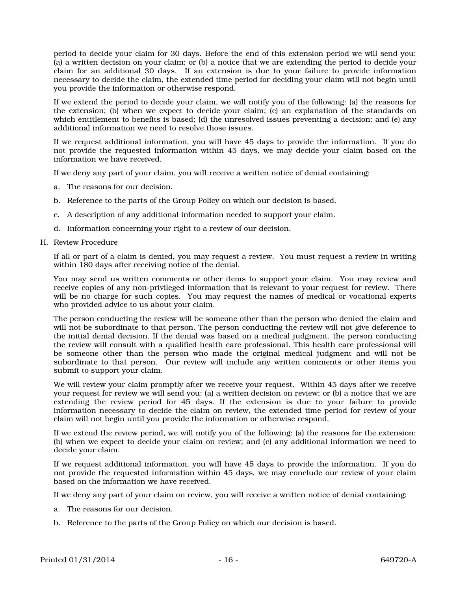period to decide your claim for 30 days. Before the end of this extension period we will send you: (a) a written decision on your claim; or (b) a notice that we are extending the period to decide your claim for an additional 30 days. If an extension is due to your failure to provide information necessary to decide the claim, the extended time period for deciding your claim will not begin until you provide the information or otherwise respond.

If we extend the period to decide your claim, we will notify you of the following: (a) the reasons for the extension; (b) when we expect to decide your claim; (c) an explanation of the standards on which entitlement to benefits is based; (d) the unresolved issues preventing a decision; and (e) any additional information we need to resolve those issues.

If we request additional information, you will have 45 days to provide the information. If you do not provide the requested information within 45 days, we may decide your claim based on the information we have received.

If we deny any part of your claim, you will receive a written notice of denial containing:

- a. The reasons for our decision.
- b. Reference to the parts of the Group Policy on which our decision is based.
- c. A description of any additional information needed to support your claim.
- d. Information concerning your right to a review of our decision.
- H. Review Procedure

If all or part of a claim is denied, you may request a review. You must request a review in writing within 180 days after receiving notice of the denial.

You may send us written comments or other items to support your claim. You may review and receive copies of any non-privileged information that is relevant to your request for review. There will be no charge for such copies. You may request the names of medical or vocational experts who provided advice to us about your claim.

The person conducting the review will be someone other than the person who denied the claim and will not be subordinate to that person. The person conducting the review will not give deference to the initial denial decision. If the denial was based on a medical judgment, the person conducting the review will consult with a qualified health care professional. This health care professional will be someone other than the person who made the original medical judgment and will not be subordinate to that person. Our review will include any written comments or other items you submit to support your claim.

We will review your claim promptly after we receive your request. Within 45 days after we receive your request for review we will send you: (a) a written decision on review; or (b) a notice that we are extending the review period for 45 days. If the extension is due to your failure to provide information necessary to decide the claim on review, the extended time period for review of your claim will not begin until you provide the information or otherwise respond.

If we extend the review period, we will notify you of the following: (a) the reasons for the extension; (b) when we expect to decide your claim on review; and (c) any additional information we need to decide your claim.

If we request additional information, you will have 45 days to provide the information. If you do not provide the requested information within 45 days, we may conclude our review of your claim based on the information we have received.

If we deny any part of your claim on review, you will receive a written notice of denial containing:

- a. The reasons for our decision.
- b. Reference to the parts of the Group Policy on which our decision is based.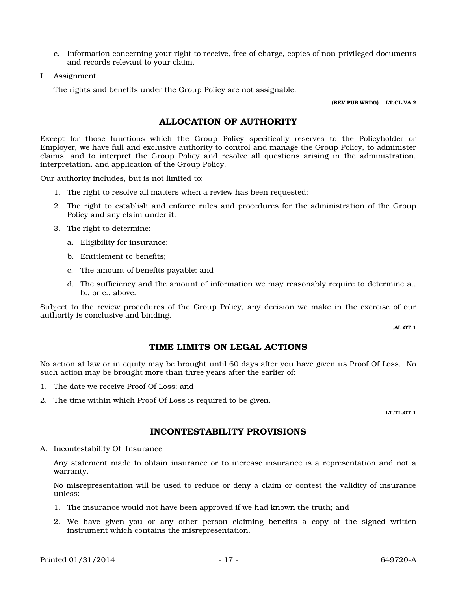- c. Information concerning your right to receive, free of charge, copies of non-privileged documents and records relevant to your claim.
- I. Assignment

The rights and benefits under the Group Policy are not assignable.

(REV PUB WRDG) LT.CL.VA.2

# ALLOCATION OF AUTHORITY

Except for those functions which the Group Policy specifically reserves to the Policyholder or Employer, we have full and exclusive authority to control and manage the Group Policy, to administer claims, and to interpret the Group Policy and resolve all questions arising in the administration, interpretation, and application of the Group Policy.

Our authority includes, but is not limited to:

- 1. The right to resolve all matters when a review has been requested;
- 2. The right to establish and enforce rules and procedures for the administration of the Group Policy and any claim under it;
- 3. The right to determine:
	- a. Eligibility for insurance;
	- b. Entitlement to benefits;
	- c. The amount of benefits payable; and
	- d. The sufficiency and the amount of information we may reasonably require to determine a., b., or c., above.

Subject to the review procedures of the Group Policy, any decision we make in the exercise of our authority is conclusive and binding.

.AL.OT.1

# TIME LIMITS ON LEGAL ACTIONS

No action at law or in equity may be brought until 60 days after you have given us Proof Of Loss. No such action may be brought more than three years after the earlier of:

- 1. The date we receive Proof Of Loss; and
- 2. The time within which Proof Of Loss is required to be given.

LT.TL.OT.1

# INCONTESTABILITY PROVISIONS

A. Incontestability Of Insurance

Any statement made to obtain insurance or to increase insurance is a representation and not a warranty.

No misrepresentation will be used to reduce or deny a claim or contest the validity of insurance unless:

- 1. The insurance would not have been approved if we had known the truth; and
- 2. We have given you or any other person claiming benefits a copy of the signed written instrument which contains the misrepresentation.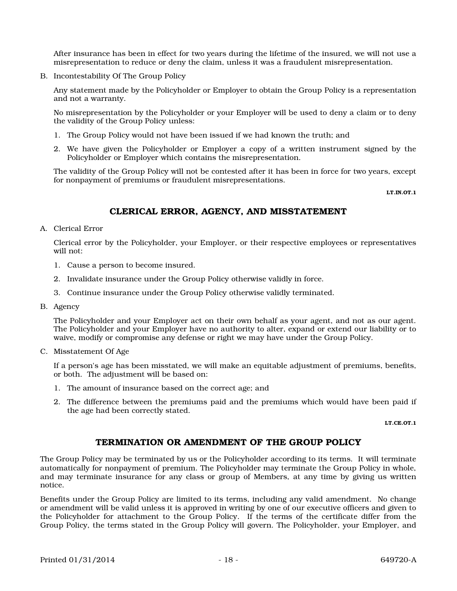After insurance has been in effect for two years during the lifetime of the insured, we will not use a misrepresentation to reduce or deny the claim, unless it was a fraudulent misrepresentation.

B. Incontestability Of The Group Policy

Any statement made by the Policyholder or Employer to obtain the Group Policy is a representation and not a warranty.

No misrepresentation by the Policyholder or your Employer will be used to deny a claim or to deny the validity of the Group Policy unless:

- 1. The Group Policy would not have been issued if we had known the truth; and
- 2. We have given the Policyholder or Employer a copy of a written instrument signed by the Policyholder or Employer which contains the misrepresentation.

The validity of the Group Policy will not be contested after it has been in force for two years, except for nonpayment of premiums or fraudulent misrepresentations.

LT.IN.OT.1

# CLERICAL ERROR, AGENCY, AND MISSTATEMENT

A. Clerical Error

Clerical error by the Policyholder, your Employer, or their respective employees or representatives will not:

- 1. Cause a person to become insured.
- 2. Invalidate insurance under the Group Policy otherwise validly in force.
- 3. Continue insurance under the Group Policy otherwise validly terminated.
- B. Agency

The Policyholder and your Employer act on their own behalf as your agent, and not as our agent. The Policyholder and your Employer have no authority to alter, expand or extend our liability or to waive, modify or compromise any defense or right we may have under the Group Policy.

C. Misstatement Of Age

If a person's age has been misstated, we will make an equitable adjustment of premiums, benefits, or both. The adjustment will be based on:

- 1. The amount of insurance based on the correct age; and
- 2. The difference between the premiums paid and the premiums which would have been paid if the age had been correctly stated.

LT.CE.OT.1

#### TERMINATION OR AMENDMENT OF THE GROUP POLICY

The Group Policy may be terminated by us or the Policyholder according to its terms. It will terminate automatically for nonpayment of premium. The Policyholder may terminate the Group Policy in whole, and may terminate insurance for any class or group of Members, at any time by giving us written notice.

Benefits under the Group Policy are limited to its terms, including any valid amendment. No change or amendment will be valid unless it is approved in writing by one of our executive officers and given to the Policyholder for attachment to the Group Policy. If the terms of the certificate differ from the Group Policy, the terms stated in the Group Policy will govern. The Policyholder, your Employer, and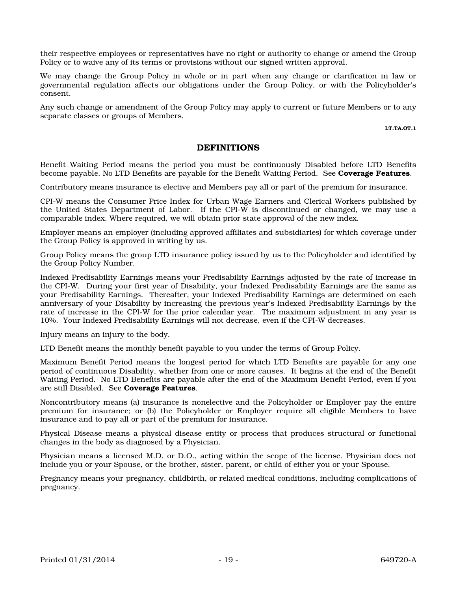their respective employees or representatives have no right or authority to change or amend the Group Policy or to waive any of its terms or provisions without our signed written approval.

We may change the Group Policy in whole or in part when any change or clarification in law or governmental regulation affects our obligations under the Group Policy, or with the Policyholder's consent.

Any such change or amendment of the Group Policy may apply to current or future Members or to any separate classes or groups of Members.

LT.TA.OT.1

#### DEFINITIONS

Benefit Waiting Period means the period you must be continuously Disabled before LTD Benefits become payable. No LTD Benefits are payable for the Benefit Waiting Period. See **Coverage Features**.

Contributory means insurance is elective and Members pay all or part of the premium for insurance.

CPI-W means the Consumer Price Index for Urban Wage Earners and Clerical Workers published by the United States Department of Labor. If the CPI-W is discontinued or changed, we may use a comparable index. Where required, we will obtain prior state approval of the new index.

Employer means an employer (including approved affiliates and subsidiaries) for which coverage under the Group Policy is approved in writing by us.

Group Policy means the group LTD insurance policy issued by us to the Policyholder and identified by the Group Policy Number.

Indexed Predisability Earnings means your Predisability Earnings adjusted by the rate of increase in the CPI-W. During your first year of Disability, your Indexed Predisability Earnings are the same as your Predisability Earnings. Thereafter, your Indexed Predisability Earnings are determined on each anniversary of your Disability by increasing the previous year's Indexed Predisability Earnings by the rate of increase in the CPI-W for the prior calendar year. The maximum adjustment in any year is 10%. Your Indexed Predisability Earnings will not decrease, even if the CPI-W decreases.

Injury means an injury to the body.

LTD Benefit means the monthly benefit payable to you under the terms of Group Policy.

Maximum Benefit Period means the longest period for which LTD Benefits are payable for any one period of continuous Disability, whether from one or more causes. It begins at the end of the Benefit Waiting Period. No LTD Benefits are payable after the end of the Maximum Benefit Period, even if you are still Disabled. See Coverage Features.

Noncontributory means (a) insurance is nonelective and the Policyholder or Employer pay the entire premium for insurance; or (b) the Policyholder or Employer require all eligible Members to have insurance and to pay all or part of the premium for insurance.

Physical Disease means a physical disease entity or process that produces structural or functional changes in the body as diagnosed by a Physician.

Physician means a licensed M.D. or D.O., acting within the scope of the license. Physician does not include you or your Spouse, or the brother, sister, parent, or child of either you or your Spouse.

Pregnancy means your pregnancy, childbirth, or related medical conditions, including complications of pregnancy.